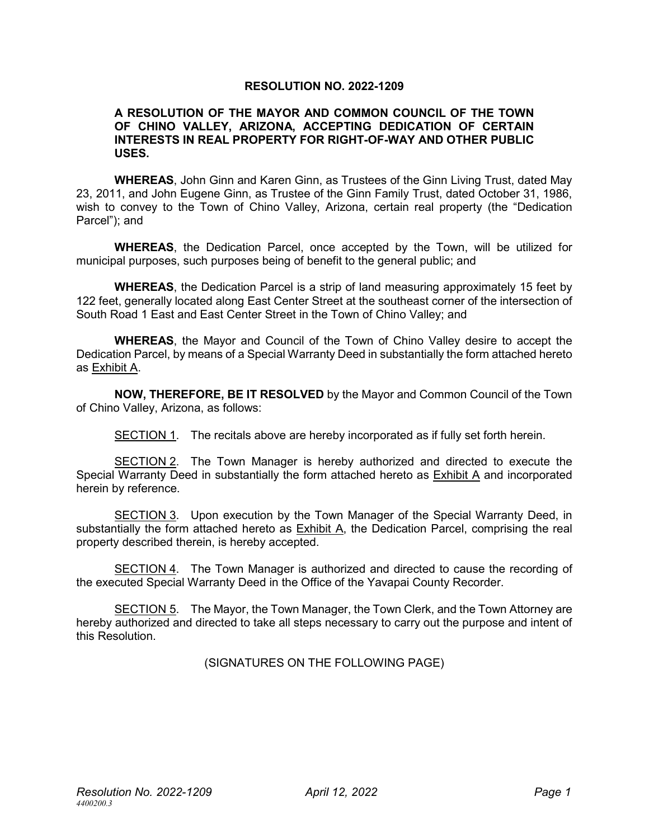## **RESOLUTION NO. 2022-1209**

### **A RESOLUTION OF THE MAYOR AND COMMON COUNCIL OF THE TOWN OF CHINO VALLEY, ARIZONA, ACCEPTING DEDICATION OF CERTAIN INTERESTS IN REAL PROPERTY FOR RIGHT-OF-WAY AND OTHER PUBLIC USES.**

**WHEREAS**, John Ginn and Karen Ginn, as Trustees of the Ginn Living Trust, dated May 23, 2011, and John Eugene Ginn, as Trustee of the Ginn Family Trust, dated October 31, 1986, wish to convey to the Town of Chino Valley, Arizona, certain real property (the "Dedication Parcel"); and

**WHEREAS**, the Dedication Parcel, once accepted by the Town, will be utilized for municipal purposes, such purposes being of benefit to the general public; and

**WHEREAS**, the Dedication Parcel is a strip of land measuring approximately 15 feet by 122 feet, generally located along East Center Street at the southeast corner of the intersection of South Road 1 East and East Center Street in the Town of Chino Valley; and

**WHEREAS**, the Mayor and Council of the Town of Chino Valley desire to accept the Dedication Parcel, by means of a Special Warranty Deed in substantially the form attached hereto as Exhibit A.

**NOW, THEREFORE, BE IT RESOLVED** by the Mayor and Common Council of the Town of Chino Valley, Arizona, as follows:

SECTION 1. The recitals above are hereby incorporated as if fully set forth herein.

SECTION 2. The Town Manager is hereby authorized and directed to execute the Special Warranty Deed in substantially the form attached hereto as Exhibit A and incorporated herein by reference.

SECTION 3. Upon execution by the Town Manager of the Special Warranty Deed, in substantially the form attached hereto as Exhibit A, the Dedication Parcel, comprising the real property described therein, is hereby accepted.

SECTION 4. The Town Manager is authorized and directed to cause the recording of the executed Special Warranty Deed in the Office of the Yavapai County Recorder.

SECTION 5. The Mayor, the Town Manager, the Town Clerk, and the Town Attorney are hereby authorized and directed to take all steps necessary to carry out the purpose and intent of this Resolution.

(SIGNATURES ON THE FOLLOWING PAGE)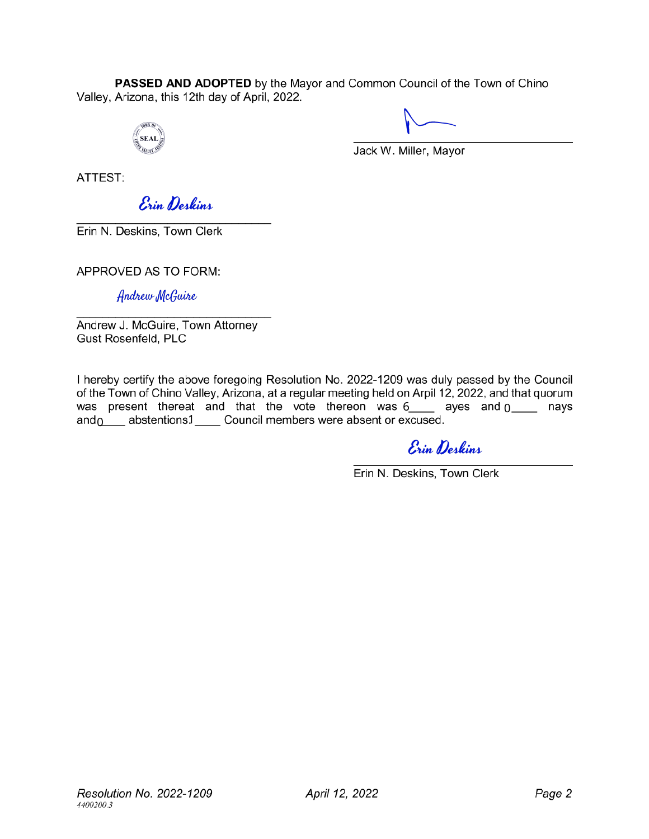PASSED AND ADOPTED by the Mayor and Common Council of the Town of Chino Valley, Arizona, this 12th day of April, 2022.



Jack W. Miller, Mayor

ATTFST:

Erin Deskins

Erin N. Deskins, Town Clerk

APPROVED AS TO FORM:

Andrew McGuire

Andrew J. McGuire, Town Attorney Gust Rosenfeld, PLC

I hereby certify the above foregoing Resolution No. 2022-1209 was duly passed by the Council of the Town of Chino Valley, Arizona, at a regular meeting held on Arpil 12, 2022, and that quorum 6\_\_\_\_<sub>\_\_</sub>ayes and <sub>0</sub> 0 1

Erin Deskins

Erin N. Deskins, Town Clerk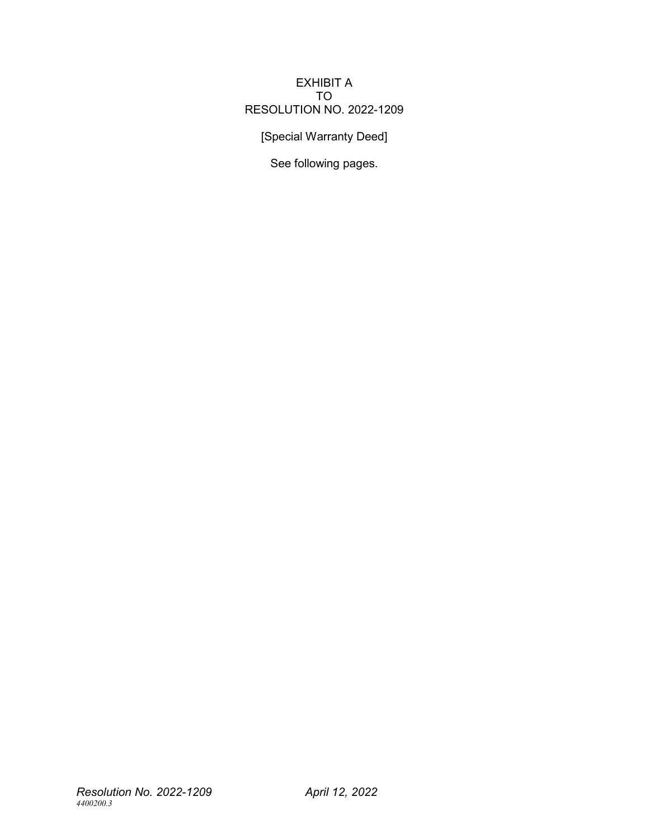## EXHIBIT A TO RESOLUTION NO. 2022-1209

[Special Warranty Deed]

See following pages.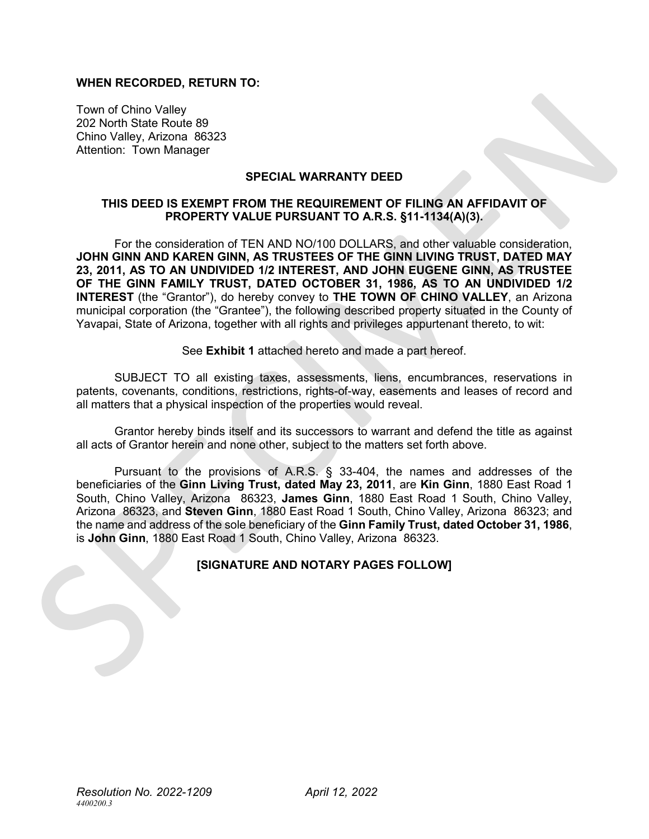### **WHEN RECORDED, RETURN TO:**

Town of Chino Valley 202 North State Route 89 Chino Valley, Arizona 86323 Attention: Town Manager

### **SPECIAL WARRANTY DEED**

## **THIS DEED IS EXEMPT FROM THE REQUIREMENT OF FILING AN AFFIDAVIT OF PROPERTY VALUE PURSUANT TO A.R.S. §11-1134(A)(3).**

For the consideration of TEN AND NO/100 DOLLARS, and other valuable consideration, **JOHN GINN AND KAREN GINN, AS TRUSTEES OF THE GINN LIVING TRUST, DATED MAY 23, 2011, AS TO AN UNDIVIDED 1/2 INTEREST, AND JOHN EUGENE GINN, AS TRUSTEE OF THE GINN FAMILY TRUST, DATED OCTOBER 31, 1986, AS TO AN UNDIVIDED 1/2 INTEREST** (the "Grantor"), do hereby convey to **THE TOWN OF CHINO VALLEY**, an Arizona municipal corporation (the "Grantee"), the following described property situated in the County of Yavapai, State of Arizona, together with all rights and privileges appurtenant thereto, to wit:

See **Exhibit 1** attached hereto and made a part hereof.

SUBJECT TO all existing taxes, assessments, liens, encumbrances, reservations in patents, covenants, conditions, restrictions, rights-of-way, easements and leases of record and all matters that a physical inspection of the properties would reveal.

Grantor hereby binds itself and its successors to warrant and defend the title as against all acts of Grantor herein and none other, subject to the matters set forth above.

Pursuant to the provisions of A.R.S. § 33-404, the names and addresses of the beneficiaries of the **Ginn Living Trust, dated May 23, 2011**, are **Kin Ginn**, 1880 East Road 1 South, Chino Valley, Arizona 86323, **James Ginn**, 1880 East Road 1 South, Chino Valley, Arizona 86323, and **Steven Ginn**, 1880 East Road 1 South, Chino Valley, Arizona 86323; and the name and address of the sole beneficiary of the **Ginn Family Trust, dated October 31, 1986**, is **John Ginn**, 1880 East Road 1 South, Chino Valley, Arizona 86323.

## **[SIGNATURE AND NOTARY PAGES FOLLOW]**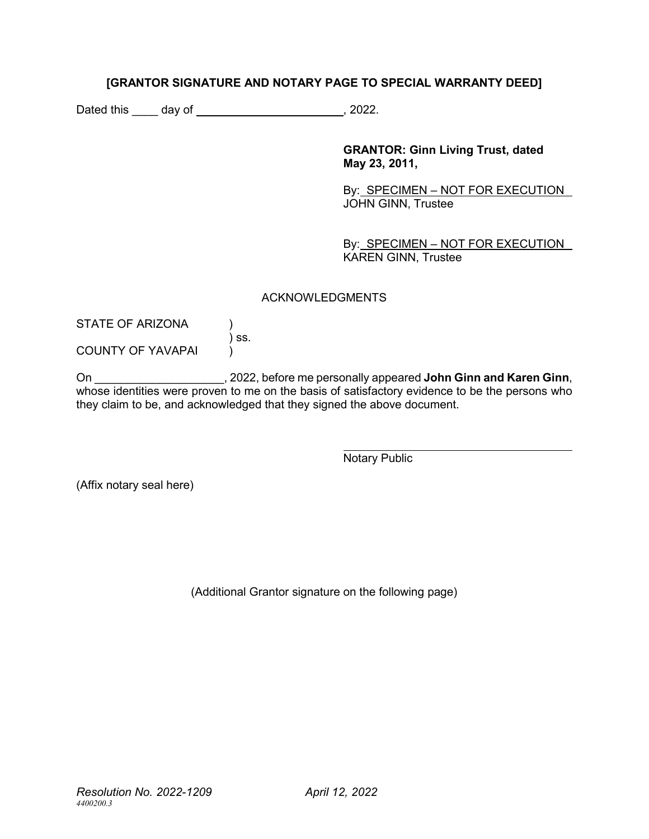# **[GRANTOR SIGNATURE AND NOTARY PAGE TO SPECIAL WARRANTY DEED]**

Dated this day of , 2022.

**GRANTOR: Ginn Living Trust, dated May 23, 2011,** 

By: SPECIMEN – NOT FOR EXECUTION JOHN GINN, Trustee

By: SPECIMEN - NOT FOR EXECUTION KAREN GINN, Trustee

### ACKNOWLEDGMENTS

STATE OF ARIZONA (1)  $\int$  ss. COUNTY OF YAVAPAI

On \_\_\_\_\_\_\_\_\_\_\_\_\_\_\_\_\_\_\_\_, 2022, before me personally appeared **John Ginn and Karen Ginn**, whose identities were proven to me on the basis of satisfactory evidence to be the persons who they claim to be, and acknowledged that they signed the above document.

Notary Public

(Affix notary seal here)

(Additional Grantor signature on the following page)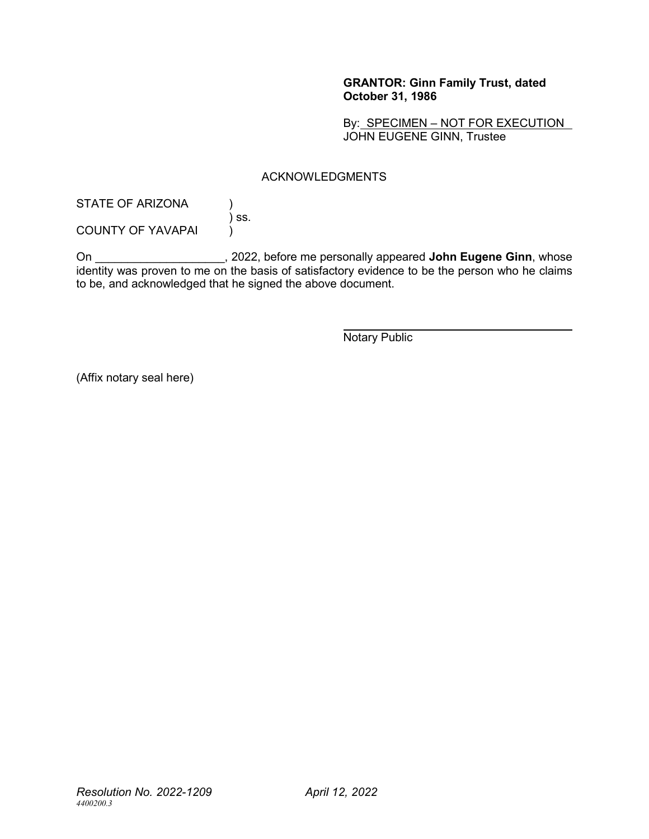## **GRANTOR: Ginn Family Trust, dated October 31, 1986**

By: SPECIMEN - NOT FOR EXECUTION JOHN EUGENE GINN, Trustee

## ACKNOWLEDGMENTS

STATE OF ARIZONA (1)  $\overline{\phantom{a}}$  ss.

COUNTY OF YAVAPAI  $\overrightarrow{)}$ 

On \_\_\_\_\_\_\_\_\_\_\_\_\_\_\_\_\_\_\_\_, 2022, before me personally appeared **John Eugene Ginn**, whose identity was proven to me on the basis of satisfactory evidence to be the person who he claims to be, and acknowledged that he signed the above document.

Notary Public

(Affix notary seal here)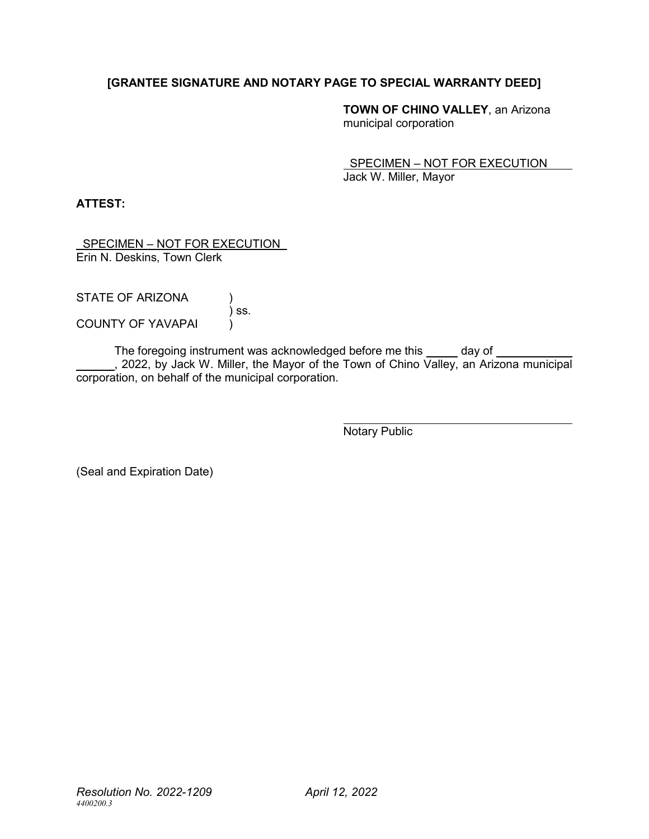# **[GRANTEE SIGNATURE AND NOTARY PAGE TO SPECIAL WARRANTY DEED]**

**TOWN OF CHINO VALLEY**, an Arizona municipal corporation

 SPECIMEN – NOT FOR EXECUTION Jack W. Miller, Mayor

**ATTEST:**

 SPECIMEN – NOT FOR EXECUTION Erin N. Deskins, Town Clerk

| STATE OF ARIZONA         |       |
|--------------------------|-------|
|                          | ) SS. |
| <b>COUNTY OF YAVAPAI</b> |       |

The foregoing instrument was acknowledged before me this \_\_\_\_\_ day of \_ , 2022, by Jack W. Miller, the Mayor of the Town of Chino Valley, an Arizona municipal corporation, on behalf of the municipal corporation.

Notary Public

(Seal and Expiration Date)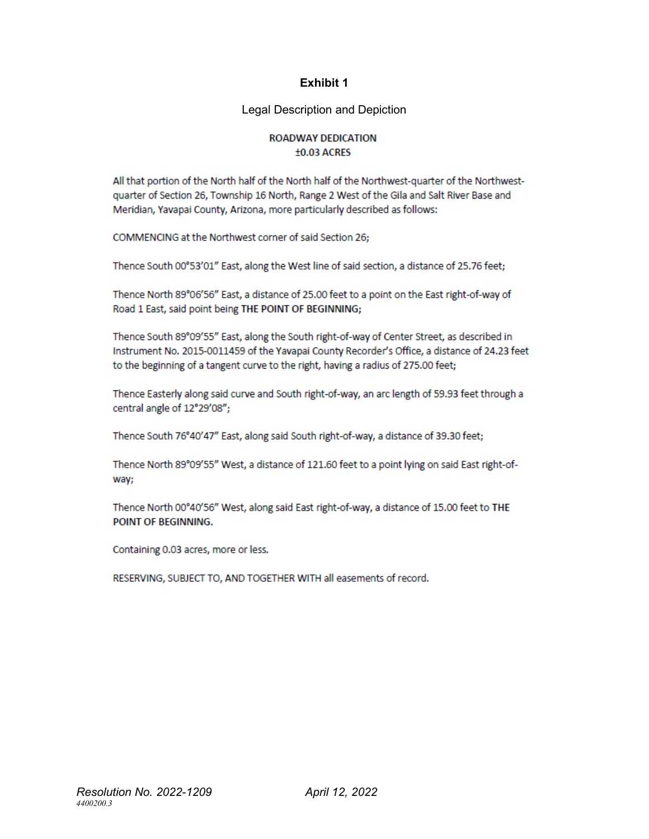# **Exhibit 1**

Legal Description and Depiction

### **ROADWAY DEDICATION**  $±0.03$  ACRES

All that portion of the North half of the North half of the Northwest-quarter of the Northwestquarter of Section 26, Township 16 North, Range 2 West of the Gila and Salt River Base and Meridian, Yavapai County, Arizona, more particularly described as follows:

COMMENCING at the Northwest corner of said Section 26;

Thence South 00°53'01" East, along the West line of said section, a distance of 25.76 feet;

Thence North 89°06'56" East, a distance of 25.00 feet to a point on the East right-of-way of Road 1 East, said point being THE POINT OF BEGINNING;

Thence South 89°09'55" East, along the South right-of-way of Center Street, as described in Instrument No. 2015-0011459 of the Yavapai County Recorder's Office, a distance of 24.23 feet to the beginning of a tangent curve to the right, having a radius of 275.00 feet;

Thence Easterly along said curve and South right-of-way, an arc length of 59.93 feet through a central angle of 12°29'08";

Thence South 76°40'47" East, along said South right-of-way, a distance of 39.30 feet;

Thence North 89°09'55" West, a distance of 121.60 feet to a point lying on said East right-ofway;

Thence North 00°40'56" West, along said East right-of-way, a distance of 15.00 feet to THE POINT OF BEGINNING.

Containing 0.03 acres, more or less.

RESERVING, SUBJECT TO, AND TOGETHER WITH all easements of record.